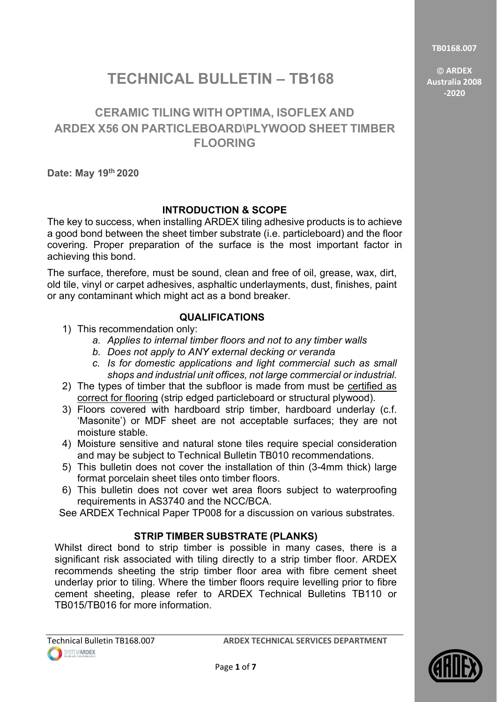**TB0168.007**

 **ARDEX Australia 2008 -2020**

# **TECHNICAL BULLETIN – TB168**

## **CERAMIC TILING WITH OPTIMA, ISOFLEX AND ARDEX X56 ON PARTICLEBOARD\PLYWOOD SHEET TIMBER FLOORING**

**Date: May 19th 2020**

### **INTRODUCTION & SCOPE**

The key to success, when installing ARDEX tiling adhesive products is to achieve a good bond between the sheet timber substrate (i.e. particleboard) and the floor covering. Proper preparation of the surface is the most important factor in achieving this bond.

The surface, therefore, must be sound, clean and free of oil, grease, wax, dirt, old tile, vinyl or carpet adhesives, asphaltic underlayments, dust, finishes, paint or any contaminant which might act as a bond breaker.

### **QUALIFICATIONS**

- 1) This recommendation only:
	- *a. Applies to internal timber floors and not to any timber walls*
	- *b. Does not apply to ANY external decking or veranda*
	- *c. Is for domestic applications and light commercial such as small shops and industrial unit offices, not large commercial or industrial.*
- 2) The types of timber that the subfloor is made from must be certified as correct for flooring (strip edged particleboard or structural plywood).
- 3) Floors covered with hardboard strip timber, hardboard underlay (c.f. 'Masonite') or MDF sheet are not acceptable surfaces; they are not moisture stable.
- 4) Moisture sensitive and natural stone tiles require special consideration and may be subject to Technical Bulletin TB010 recommendations.
- 5) This bulletin does not cover the installation of thin (3-4mm thick) large format porcelain sheet tiles onto timber floors.
- 6) This bulletin does not cover wet area floors subject to waterproofing requirements in AS3740 and the NCC/BCA.

See ARDEX Technical Paper TP008 for a discussion on various substrates.

### **STRIP TIMBER SUBSTRATE (PLANKS)**

Whilst direct bond to strip timber is possible in many cases, there is a significant risk associated with tiling directly to a strip timber floor. ARDEX recommends sheeting the strip timber floor area with fibre cement sheet underlay prior to tiling. Where the timber floors require levelling prior to fibre cement sheeting, please refer to ARDEX Technical Bulletins TB110 or TB015/TB016 for more information.

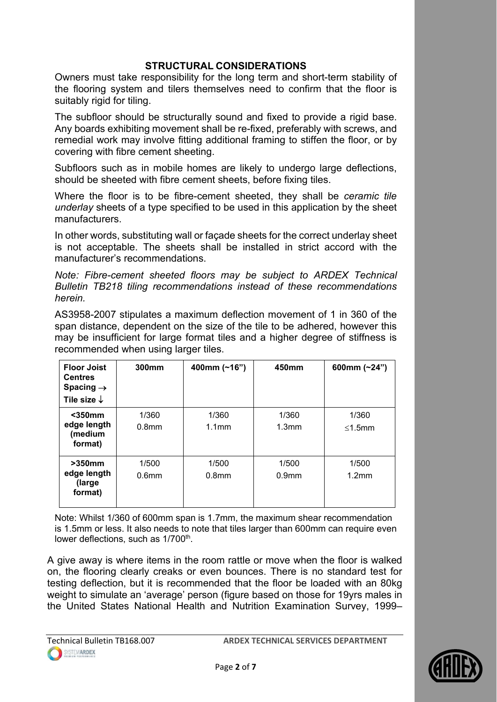#### **STRUCTURAL CONSIDERATIONS**

Owners must take responsibility for the long term and short-term stability of the flooring system and tilers themselves need to confirm that the floor is suitably rigid for tiling.

The subfloor should be structurally sound and fixed to provide a rigid base. Any boards exhibiting movement shall be re-fixed, preferably with screws, and remedial work may involve fitting additional framing to stiffen the floor, or by covering with fibre cement sheeting.

Subfloors such as in mobile homes are likely to undergo large deflections, should be sheeted with fibre cement sheets, before fixing tiles.

Where the floor is to be fibre-cement sheeted, they shall be *ceramic tile underlay* sheets of a type specified to be used in this application by the sheet manufacturers.

In other words, substituting wall or façade sheets for the correct underlay sheet is not acceptable. The sheets shall be installed in strict accord with the manufacturer's recommendations.

*Note: Fibre-cement sheeted floors may be subject to ARDEX Technical Bulletin TB218 tiling recommendations instead of these recommendations herein.*

AS3958-2007 stipulates a maximum deflection movement of 1 in 360 of the span distance, dependent on the size of the tile to be adhered, however this may be insufficient for large format tiles and a higher degree of stiffness is recommended when using larger tiles.

| <b>Floor Joist</b><br><b>Centres</b><br>Spacing $\rightarrow$<br>Tile size $\downarrow$ | 300mm                      | 400mm (~16")               | 450mm                      | 600mm $(-24")$  |
|-----------------------------------------------------------------------------------------|----------------------------|----------------------------|----------------------------|-----------------|
| $350mm$<br>edge length<br>(medium<br>format)                                            | 1/360<br>0.8 <sub>mm</sub> | 1/360<br>1.1 <sub>mm</sub> | 1/360<br>1.3 <sub>mm</sub> | 1/360<br>≤1.5mm |
| $>350$ mm<br>edge length<br>(large)<br>format)                                          | 1/500<br>0.6 <sub>mm</sub> | 1/500<br>0.8 <sub>mm</sub> | 1/500<br>0.9 <sub>mm</sub> | 1/500<br>1.2mm  |

Note: Whilst 1/360 of 600mm span is 1.7mm, the maximum shear recommendation is 1.5mm or less. It also needs to note that tiles larger than 600mm can require even lower deflections, such as  $1/700^{th}$ .

A give away is where items in the room rattle or move when the floor is walked on, the flooring clearly creaks or even bounces. There is no standard test for testing deflection, but it is recommended that the floor be loaded with an 80kg weight to simulate an 'average' person (figure based on those for 19yrs males in the United States National Health and Nutrition Examination Survey, 1999–

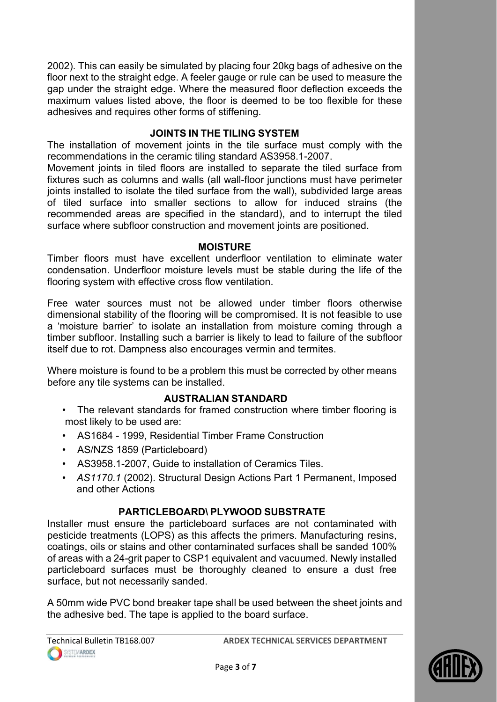2002). This can easily be simulated by placing four 20kg bags of adhesive on the floor next to the straight edge. A feeler gauge or rule can be used to measure the gap under the straight edge. Where the measured floor deflection exceeds the maximum values listed above, the floor is deemed to be too flexible for these adhesives and requires other forms of stiffening.

### **JOINTS IN THE TILING SYSTEM**

The installation of movement joints in the tile surface must comply with the recommendations in the ceramic tiling standard AS3958.1-2007.

Movement joints in tiled floors are installed to separate the tiled surface from fixtures such as columns and walls (all wall-floor junctions must have perimeter joints installed to isolate the tiled surface from the wall), subdivided large areas of tiled surface into smaller sections to allow for induced strains (the recommended areas are specified in the standard), and to interrupt the tiled surface where subfloor construction and movement joints are positioned.

#### **MOISTURE**

Timber floors must have excellent underfloor ventilation to eliminate water condensation. Underfloor moisture levels must be stable during the life of the flooring system with effective cross flow ventilation.

Free water sources must not be allowed under timber floors otherwise dimensional stability of the flooring will be compromised. It is not feasible to use a 'moisture barrier' to isolate an installation from moisture coming through a timber subfloor. Installing such a barrier is likely to lead to failure of the subfloor itself due to rot. Dampness also encourages vermin and termites.

Where moisture is found to be a problem this must be corrected by other means before any tile systems can be installed.

#### **AUSTRALIAN STANDARD**

- The relevant standards for framed construction where timber flooring is most likely to be used are:
- AS1684 1999, Residential Timber Frame Construction
- AS/NZS 1859 (Particleboard)
- AS3958.1-2007, Guide to installation of Ceramics Tiles.
- *AS1170*.*1* (2002). Structural Design Actions Part 1 Permanent, Imposed and other Actions

#### **PARTICLEBOARD\ PLYWOOD SUBSTRATE**

Installer must ensure the particleboard surfaces are not contaminated with pesticide treatments (LOPS) as this affects the primers. Manufacturing resins, coatings, oils or stains and other contaminated surfaces shall be sanded 100% of areas with a 24-grit paper to CSP1 equivalent and vacuumed. Newly installed particleboard surfaces must be thoroughly cleaned to ensure a dust free surface, but not necessarily sanded.

A 50mm wide PVC bond breaker tape shall be used between the sheet joints and the adhesive bed. The tape is applied to the board surface.

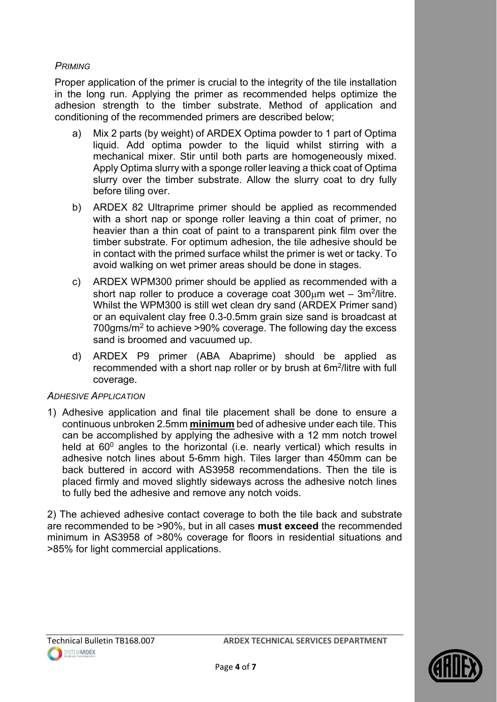#### *PRIMING*

Proper application of the primer is crucial to the integrity of the tile installation in the long run. Applying the primer as recommended helps optimize the adhesion strength to the timber substrate. Method of application and conditioning of the recommended primers are described below;

- a) Mix 2 parts (by weight) of ARDEX Optima powder to 1 part of Optima liquid. Add optima powder to the liquid whilst stirring with a mechanical mixer. Stir until both parts are homogeneously mixed. Apply Optima slurry with a sponge roller leaving a thick coat of Optima slurry over the timber substrate. Allow the slurry coat to dry fully before tiling over.
- b) ARDEX 82 Ultraprime primer should be applied as recommended with a short nap or sponge roller leaving a thin coat of primer, no heavier than a thin coat of paint to a transparent pink film over the timber substrate. For optimum adhesion, the tile adhesive should be in contact with the primed surface whilst the primer is wet or tacky. To avoid walking on wet primer areas should be done in stages.
- c) ARDEX WPM300 primer should be applied as recommended with a short nap roller to produce a coverage coat  $300 \mu m$  wet –  $3m^2/l$ litre. Whilst the WPM300 is still wet clean dry sand (ARDEX Primer sand) or an equivalent clay free 0.3-0.5mm grain size sand is broadcast at 700gms/m2 to achieve >90% coverage. The following day the excess sand is broomed and vacuumed up.
- d) ARDEX P9 primer (ABA Abaprime) should be applied as recommended with a short nap roller or by brush at 6m2/litre with full coverage.

#### *ADHESIVE APPLICATION*

1) Adhesive application and final tile placement shall be done to ensure a continuous unbroken 2.5mm **minimum** bed of adhesive under each tile. This can be accomplished by applying the adhesive with a 12 mm notch trowel held at  $60^{\circ}$  angles to the horizontal (i.e. nearly vertical) which results in adhesive notch lines about 5-6mm high. Tiles larger than 450mm can be back buttered in accord with AS3958 recommendations. Then the tile is placed firmly and moved slightly sideways across the adhesive notch lines to fully bed the adhesive and remove any notch voids.

2) The achieved adhesive contact coverage to both the tile back and substrate are recommended to be >90%, but in all cases **must exceed** the recommended minimum in AS3958 of >80% coverage for floors in residential situations and >85% for light commercial applications.

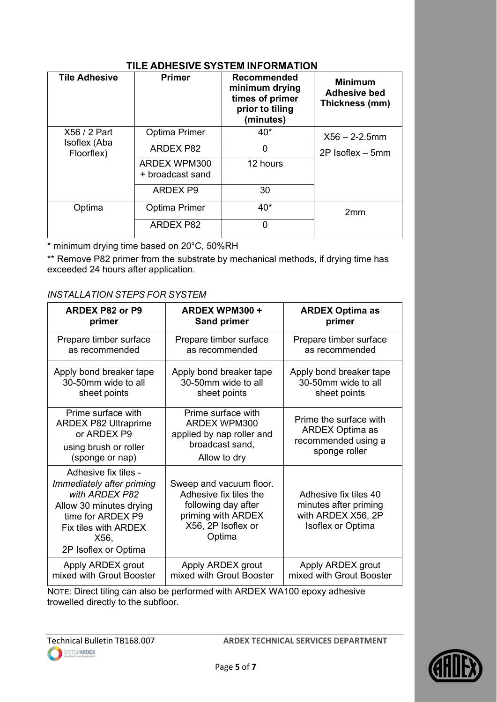| <b>Tile Adhesive</b>                       | <b>Primer</b>                    | <b>Recommended</b><br>minimum drying<br>times of primer<br>prior to tiling<br>(minutes) | <b>Minimum</b><br><b>Adhesive bed</b><br>Thickness (mm) |
|--------------------------------------------|----------------------------------|-----------------------------------------------------------------------------------------|---------------------------------------------------------|
| X56 / 2 Part<br>Isoflex (Aba<br>Floorflex) | <b>Optima Primer</b>             | $40*$                                                                                   | $X56 - 2 - 2.5$ mm                                      |
|                                            | <b>ARDEX P82</b>                 | 0                                                                                       | $2P$ Isoflex $-5mm$                                     |
|                                            | ARDEX WPM300<br>+ broadcast sand | 12 hours                                                                                |                                                         |
|                                            | ARDEX P9                         | 30                                                                                      |                                                         |
| Optima                                     | <b>Optima Primer</b>             | $40*$                                                                                   | 2mm                                                     |
|                                            | <b>ARDEX P82</b>                 | $\Omega$                                                                                |                                                         |

\* minimum drying time based on 20°C, 50%RH

\*\* Remove P82 primer from the substrate by mechanical methods, if drying time has exceeded 24 hours after application.

#### *INSTALLATION STEPS FOR SYSTEM*

| <b>ARDEX P82 or P9</b>                                                                                                                                                      | <b>ARDEX WPM300 +</b>                                                                                                          | <b>ARDEX Optima as</b>                                                                           |
|-----------------------------------------------------------------------------------------------------------------------------------------------------------------------------|--------------------------------------------------------------------------------------------------------------------------------|--------------------------------------------------------------------------------------------------|
| primer                                                                                                                                                                      | <b>Sand primer</b>                                                                                                             | primer                                                                                           |
| Prepare timber surface                                                                                                                                                      | Prepare timber surface                                                                                                         | Prepare timber surface                                                                           |
| as recommended                                                                                                                                                              | as recommended                                                                                                                 | as recommended                                                                                   |
| Apply bond breaker tape                                                                                                                                                     | Apply bond breaker tape                                                                                                        | Apply bond breaker tape                                                                          |
| 30-50mm wide to all                                                                                                                                                         | 30-50mm wide to all                                                                                                            | 30-50mm wide to all                                                                              |
| sheet points                                                                                                                                                                | sheet points                                                                                                                   | sheet points                                                                                     |
| Prime surface with<br><b>ARDEX P82 Ultraprime</b><br>or ARDEX P9<br>using brush or roller<br>(sponge or nap)                                                                | Prime surface with<br>ARDEX WPM300<br>applied by nap roller and<br>broadcast sand,<br>Allow to dry                             | Prime the surface with<br><b>ARDEX Optima as</b><br>recommended using a<br>sponge roller         |
| Adhesive fix tiles -<br>Immediately after priming<br>with ARDEX P82<br>Allow 30 minutes drying<br>time for ARDEX P9<br>Fix tiles with ARDEX<br>X56,<br>2P Isoflex or Optima | Sweep and vacuum floor.<br>Adhesive fix tiles the<br>following day after<br>priming with ARDEX<br>X56, 2P Isoflex or<br>Optima | Adhesive fix tiles 40<br>minutes after priming<br>with ARDEX X56, 2P<br><b>Isoflex or Optima</b> |
| Apply ARDEX grout                                                                                                                                                           | Apply ARDEX grout                                                                                                              | Apply ARDEX grout                                                                                |
| mixed with Grout Booster                                                                                                                                                    | mixed with Grout Booster                                                                                                       | mixed with Grout Booster                                                                         |

NOTE: Direct tiling can also be performed with ARDEX WA100 epoxy adhesive trowelled directly to the subfloor.

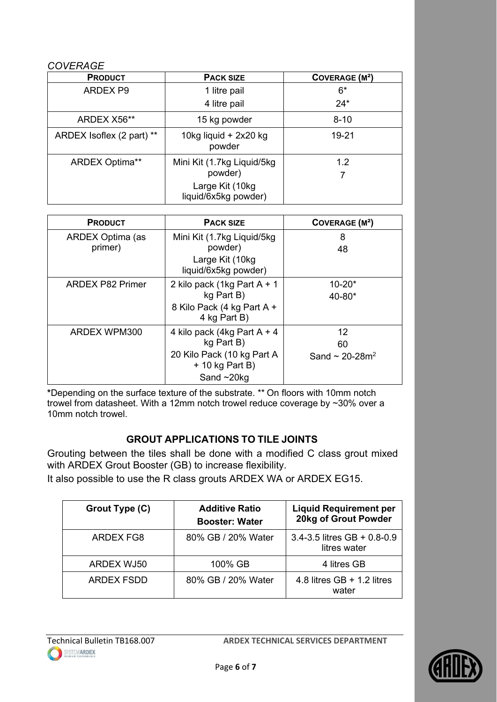#### *COVERAGE*

| <b>PRODUCT</b>            | <b>PACK SIZE</b>                        | <b>COVERAGE (M<sup>2</sup>)</b> |
|---------------------------|-----------------------------------------|---------------------------------|
| <b>ARDEX P9</b>           | 1 litre pail                            | $6*$                            |
|                           | 4 litre pail                            | $24*$                           |
| ARDEX X56**               | 15 kg powder                            | $8 - 10$                        |
| ARDEX Isoflex (2 part) ** | 10kg liquid + 2x20 kg<br>powder         | 19-21                           |
| <b>ARDEX Optima**</b>     | Mini Kit (1.7kg Liquid/5kg              | 1.2                             |
|                           | powder)                                 |                                 |
|                           | Large Kit (10kg<br>liquid/6x5kg powder) |                                 |

| <b>PRODUCT</b>              | <b>PACK SIZE</b>                                                                                                  | COVERAGE (M <sup>2</sup> )                  |
|-----------------------------|-------------------------------------------------------------------------------------------------------------------|---------------------------------------------|
| ARDEX Optima (as<br>primer) | Mini Kit (1.7kg Liquid/5kg<br>powder)<br>Large Kit (10kg<br>liquid/6x5kg powder)                                  | 8<br>48                                     |
| <b>ARDEX P82 Primer</b>     | 2 kilo pack (1kg Part A + 1<br>kg Part B)<br>8 Kilo Pack (4 kg Part A +<br>4 kg Part B)                           | $10 - 20*$<br>40-80*                        |
| <b>ARDEX WPM300</b>         | 4 kilo pack (4kg Part A + 4)<br>kg Part B)<br>20 Kilo Pack (10 kg Part A<br>$+$ 10 kg Part B)<br>Sand $\sim$ 20kg | 12<br>60<br>Sand $\sim$ 20-28m <sup>2</sup> |

**\***Depending on the surface texture of the substrate. \*\* On floors with 10mm notch trowel from datasheet. With a 12mm notch trowel reduce coverage by ~30% over a 10mm notch trowel.

### **GROUT APPLICATIONS TO TILE JOINTS**

Grouting between the tiles shall be done with a modified C class grout mixed with ARDEX Grout Booster (GB) to increase flexibility.

It also possible to use the R class grouts ARDEX WA or ARDEX EG15.

| Grout Type (C) | <b>Additive Ratio</b><br><b>Booster: Water</b> | <b>Liquid Requirement per</b><br>20kg of Grout Powder |
|----------------|------------------------------------------------|-------------------------------------------------------|
| ARDEX FG8      | 80% GB / 20% Water                             | 3.4-3.5 litres $GB + 0.8 - 0.9$<br>litres water       |
| ARDEX WJ50     | 100% GB                                        | 4 litres GB                                           |
| ARDEX FSDD     | 80% GB / 20% Water                             | 4.8 litres $GB + 1.2$ litres<br>water                 |

Technical Bulletin TB168.007 **ARDEX TECHNICAL SERVICES DEPARTMENT**